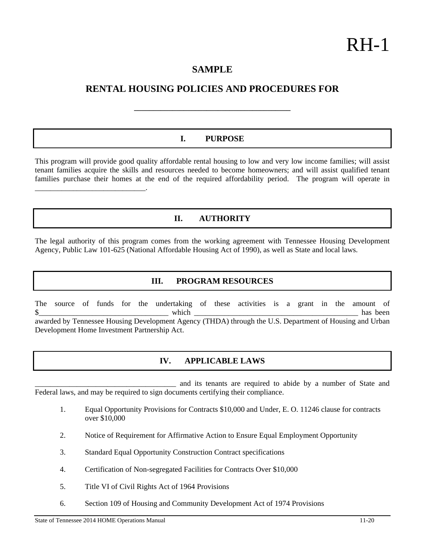# **SAMPLE**

# **RENTAL HOUSING POLICIES AND PROCEDURES FOR**

**\_\_\_\_\_\_\_\_\_\_\_\_\_\_\_\_\_\_\_\_\_\_\_\_\_\_\_\_\_\_\_\_\_\_\_\_\_\_\_\_\_** 

### **I. PURPOSE**

This program will provide good quality affordable rental housing to low and very low income families; will assist tenant families acquire the skills and resources needed to become homeowners; and will assist qualified tenant families purchase their homes at the end of the required affordability period. The program will operate in \_\_\_\_\_\_\_\_\_\_\_\_\_\_\_\_\_\_\_\_\_\_\_\_\_\_\_\_\_.

# **II. AUTHORITY**

The legal authority of this program comes from the working agreement with Tennessee Housing Development Agency, Public Law 101-625 (National Affordable Housing Act of 1990), as well as State and local laws.

### **III. PROGRAM RESOURCES**

The source of funds for the undertaking of these activities is a grant in the amount of  $\frac{\text{N}}{\text{N}}$  has been awarded by Tennessee Housing Development Agency (THDA) through the U.S. Department of Housing and Urban Development Home Investment Partnership Act.

## **IV. APPLICABLE LAWS**

and its tenants are required to abide by a number of State and Federal laws, and may be required to sign documents certifying their compliance.

- 1. Equal Opportunity Provisions for Contracts \$10,000 and Under, E. O. 11246 clause for contracts over \$10,000
- 2. Notice of Requirement for Affirmative Action to Ensure Equal Employment Opportunity
- 3. Standard Equal Opportunity Construction Contract specifications
- 4. Certification of Non-segregated Facilities for Contracts Over \$10,000
- 5. Title VI of Civil Rights Act of 1964 Provisions
- 6. Section 109 of Housing and Community Development Act of 1974 Provisions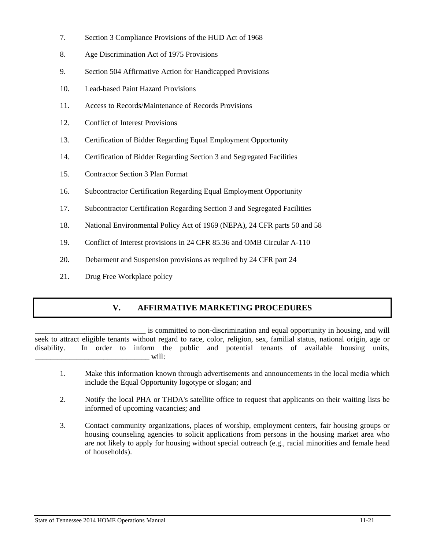- 7. Section 3 Compliance Provisions of the HUD Act of 1968
- 8. Age Discrimination Act of 1975 Provisions
- 9. Section 504 Affirmative Action for Handicapped Provisions
- 10. Lead-based Paint Hazard Provisions
- 11. Access to Records/Maintenance of Records Provisions
- 12. Conflict of Interest Provisions
- 13. Certification of Bidder Regarding Equal Employment Opportunity
- 14. Certification of Bidder Regarding Section 3 and Segregated Facilities
- 15. Contractor Section 3 Plan Format
- 16. Subcontractor Certification Regarding Equal Employment Opportunity
- 17. Subcontractor Certification Regarding Section 3 and Segregated Facilities
- 18. National Environmental Policy Act of 1969 (NEPA), 24 CFR parts 50 and 58
- 19. Conflict of Interest provisions in 24 CFR 85.36 and OMB Circular A-110
- 20. Debarment and Suspension provisions as required by 24 CFR part 24
- 21. Drug Free Workplace policy

# **V. AFFIRMATIVE MARKETING PROCEDURES**

\_\_\_\_\_\_\_\_\_\_\_\_\_\_\_\_\_\_\_\_\_\_\_\_\_\_\_\_\_ is committed to non-discrimination and equal opportunity in housing, and will seek to attract eligible tenants without regard to race, color, religion, sex, familial status, national origin, age or disability. In order to inform the public and potential tenants of available housing units, \_\_\_\_\_\_\_\_\_\_\_\_\_\_\_\_\_\_\_\_\_\_\_\_\_\_\_\_\_\_ will:

- 1. Make this information known through advertisements and announcements in the local media which include the Equal Opportunity logotype or slogan; and
- 2. Notify the local PHA or THDA's satellite office to request that applicants on their waiting lists be informed of upcoming vacancies; and
- 3. Contact community organizations, places of worship, employment centers, fair housing groups or housing counseling agencies to solicit applications from persons in the housing market area who are not likely to apply for housing without special outreach (e.g., racial minorities and female head of households).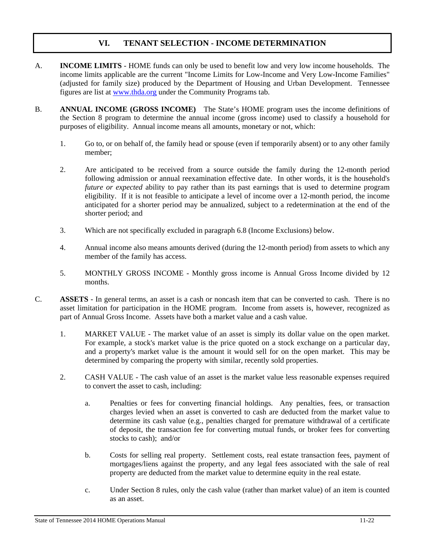# **VI. TENANT SELECTION - INCOME DETERMINATION**

- A. **INCOME LIMITS** HOME funds can only be used to benefit low and very low income households. The income limits applicable are the current "Income Limits for Low-Income and Very Low-Income Families" (adjusted for family size) produced by the Department of Housing and Urban Development. Tennessee figures are list at www.thda.org under the Community Programs tab.
- B. **ANNUAL INCOME (GROSS INCOME)** The State's HOME program uses the income definitions of the Section 8 program to determine the annual income (gross income) used to classify a household for purposes of eligibility. Annual income means all amounts, monetary or not, which:
	- 1. Go to, or on behalf of, the family head or spouse (even if temporarily absent) or to any other family member;
	- 2. Are anticipated to be received from a source outside the family during the 12-month period following admission or annual reexamination effective date. In other words, it is the household's *future or expected* ability to pay rather than its past earnings that is used to determine program eligibility. If it is not feasible to anticipate a level of income over a 12-month period, the income anticipated for a shorter period may be annualized, subject to a redetermination at the end of the shorter period; and
	- 3. Which are not specifically excluded in paragraph 6.8 (Income Exclusions) below.
	- 4. Annual income also means amounts derived (during the 12-month period) from assets to which any member of the family has access.
	- 5. MONTHLY GROSS INCOME Monthly gross income is Annual Gross Income divided by 12 months.
- C. **ASSETS** In general terms, an asset is a cash or noncash item that can be converted to cash. There is no asset limitation for participation in the HOME program. Income from assets is, however, recognized as part of Annual Gross Income. Assets have both a market value and a cash value.
	- 1. MARKET VALUE The market value of an asset is simply its dollar value on the open market. For example, a stock's market value is the price quoted on a stock exchange on a particular day, and a property's market value is the amount it would sell for on the open market. This may be determined by comparing the property with similar, recently sold properties.
	- 2. CASH VALUE The cash value of an asset is the market value less reasonable expenses required to convert the asset to cash, including:
		- a. Penalties or fees for converting financial holdings. Any penalties, fees, or transaction charges levied when an asset is converted to cash are deducted from the market value to determine its cash value (e.g., penalties charged for premature withdrawal of a certificate of deposit, the transaction fee for converting mutual funds, or broker fees for converting stocks to cash); and/or
		- b. Costs for selling real property. Settlement costs, real estate transaction fees, payment of mortgages/liens against the property, and any legal fees associated with the sale of real property are deducted from the market value to determine equity in the real estate.
		- c. Under Section 8 rules, only the cash value (rather than market value) of an item is counted as an asset.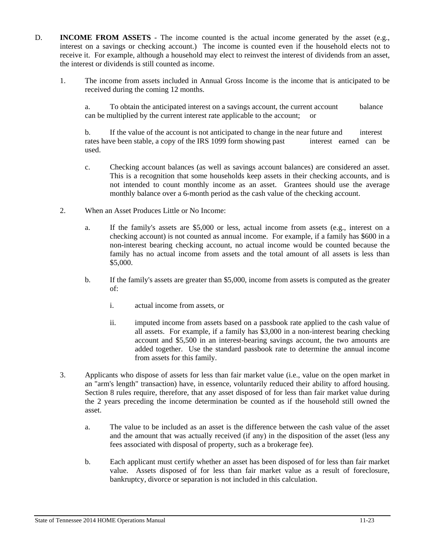- D. **INCOME FROM ASSETS** The income counted is the actual income generated by the asset (e.g., interest on a savings or checking account.) The income is counted even if the household elects not to receive it. For example, although a household may elect to reinvest the interest of dividends from an asset, the interest or dividends is still counted as income.
	- 1. The income from assets included in Annual Gross Income is the income that is anticipated to be received during the coming 12 months.

 a. To obtain the anticipated interest on a savings account, the current account balance can be multiplied by the current interest rate applicable to the account; or

 b. If the value of the account is not anticipated to change in the near future and interest rates have been stable, a copy of the IRS 1099 form showing past interest earned can be used.

- c. Checking account balances (as well as savings account balances) are considered an asset. This is a recognition that some households keep assets in their checking accounts, and is not intended to count monthly income as an asset. Grantees should use the average monthly balance over a 6-month period as the cash value of the checking account.
- 2. When an Asset Produces Little or No Income:
	- a. If the family's assets are \$5,000 or less, actual income from assets (e.g., interest on a checking account) is not counted as annual income. For example, if a family has \$600 in a non-interest bearing checking account, no actual income would be counted because the family has no actual income from assets and the total amount of all assets is less than \$5,000.
	- b. If the family's assets are greater than \$5,000, income from assets is computed as the greater of:
		- i. actual income from assets, or
		- ii. imputed income from assets based on a passbook rate applied to the cash value of all assets. For example, if a family has \$3,000 in a non-interest bearing checking account and \$5,500 in an interest-bearing savings account, the two amounts are added together. Use the standard passbook rate to determine the annual income from assets for this family.
- 3. Applicants who dispose of assets for less than fair market value (i.e., value on the open market in an "arm's length" transaction) have, in essence, voluntarily reduced their ability to afford housing. Section 8 rules require, therefore, that any asset disposed of for less than fair market value during the 2 years preceding the income determination be counted as if the household still owned the asset.
	- a. The value to be included as an asset is the difference between the cash value of the asset and the amount that was actually received (if any) in the disposition of the asset (less any fees associated with disposal of property, such as a brokerage fee).
	- b. Each applicant must certify whether an asset has been disposed of for less than fair market value. Assets disposed of for less than fair market value as a result of foreclosure, bankruptcy, divorce or separation is not included in this calculation.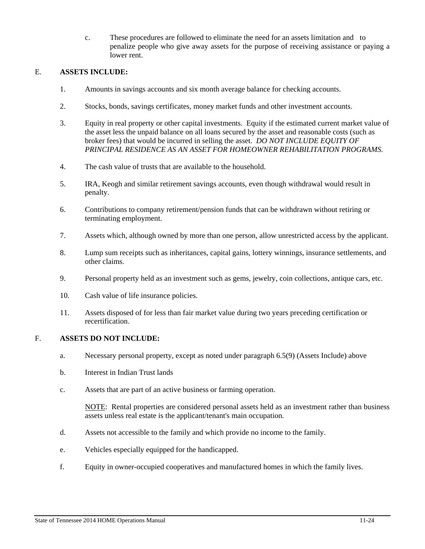c. These procedures are followed to eliminate the need for an assets limitation and to penalize people who give away assets for the purpose of receiving assistance or paying a lower rent.

#### E. **ASSETS INCLUDE:**

- 1. Amounts in savings accounts and six month average balance for checking accounts.
- 2. Stocks, bonds, savings certificates, money market funds and other investment accounts.
- 3. Equity in real property or other capital investments. Equity if the estimated current market value of the asset less the unpaid balance on all loans secured by the asset and reasonable costs (such as broker fees) that would be incurred in selling the asset. *DO NOT INCLUDE EQUITY OF PRINCIPAL RESIDENCE AS AN ASSET FOR HOMEOWNER REHABILITATION PROGRAMS.*
- 4. The cash value of trusts that are available to the household.
- 5. IRA, Keogh and similar retirement savings accounts, even though withdrawal would result in penalty.
- 6. Contributions to company retirement/pension funds that can be withdrawn without retiring or terminating employment.
- 7. Assets which, although owned by more than one person, allow unrestricted access by the applicant.
- 8. Lump sum receipts such as inheritances, capital gains, lottery winnings, insurance settlements, and other claims.
- 9. Personal property held as an investment such as gems, jewelry, coin collections, antique cars, etc.
- 10. Cash value of life insurance policies.
- 11. Assets disposed of for less than fair market value during two years preceding certification or recertification.

#### F. **ASSETS DO NOT INCLUDE:**

- a. Necessary personal property, except as noted under paragraph 6.5(9) (Assets Include) above
- b. Interest in Indian Trust lands
- c. Assets that are part of an active business or farming operation.

 NOTE: Rental properties are considered personal assets held as an investment rather than business assets unless real estate is the applicant/tenant's main occupation.

- d. Assets not accessible to the family and which provide no income to the family.
- e. Vehicles especially equipped for the handicapped.
- f. Equity in owner-occupied cooperatives and manufactured homes in which the family lives.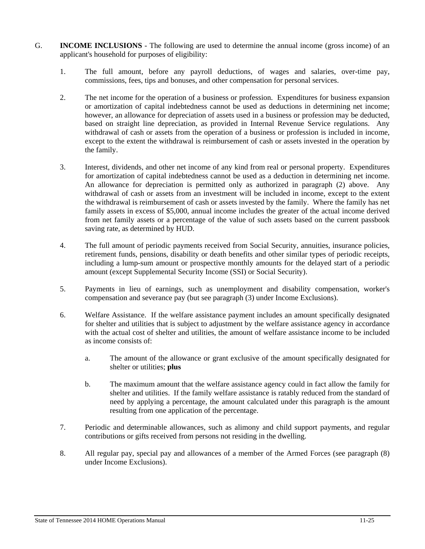- G. **INCOME INCLUSIONS** The following are used to determine the annual income (gross income) of an applicant's household for purposes of eligibility:
	- 1. The full amount, before any payroll deductions, of wages and salaries, over-time pay, commissions, fees, tips and bonuses, and other compensation for personal services.
	- 2. The net income for the operation of a business or profession. Expenditures for business expansion or amortization of capital indebtedness cannot be used as deductions in determining net income; however, an allowance for depreciation of assets used in a business or profession may be deducted, based on straight line depreciation, as provided in Internal Revenue Service regulations. Any withdrawal of cash or assets from the operation of a business or profession is included in income, except to the extent the withdrawal is reimbursement of cash or assets invested in the operation by the family.
	- 3. Interest, dividends, and other net income of any kind from real or personal property. Expenditures for amortization of capital indebtedness cannot be used as a deduction in determining net income. An allowance for depreciation is permitted only as authorized in paragraph (2) above. Any withdrawal of cash or assets from an investment will be included in income, except to the extent the withdrawal is reimbursement of cash or assets invested by the family. Where the family has net family assets in excess of \$5,000, annual income includes the greater of the actual income derived from net family assets or a percentage of the value of such assets based on the current passbook saving rate, as determined by HUD.
	- 4. The full amount of periodic payments received from Social Security, annuities, insurance policies, retirement funds, pensions, disability or death benefits and other similar types of periodic receipts, including a lump-sum amount or prospective monthly amounts for the delayed start of a periodic amount (except Supplemental Security Income (SSI) or Social Security).
	- 5. Payments in lieu of earnings, such as unemployment and disability compensation, worker's compensation and severance pay (but see paragraph (3) under Income Exclusions).
	- 6. Welfare Assistance. If the welfare assistance payment includes an amount specifically designated for shelter and utilities that is subject to adjustment by the welfare assistance agency in accordance with the actual cost of shelter and utilities, the amount of welfare assistance income to be included as income consists of:
		- a. The amount of the allowance or grant exclusive of the amount specifically designated for shelter or utilities; **plus**
		- b. The maximum amount that the welfare assistance agency could in fact allow the family for shelter and utilities. If the family welfare assistance is ratably reduced from the standard of need by applying a percentage, the amount calculated under this paragraph is the amount resulting from one application of the percentage.
	- 7. Periodic and determinable allowances, such as alimony and child support payments, and regular contributions or gifts received from persons not residing in the dwelling.
	- 8. All regular pay, special pay and allowances of a member of the Armed Forces (see paragraph (8) under Income Exclusions).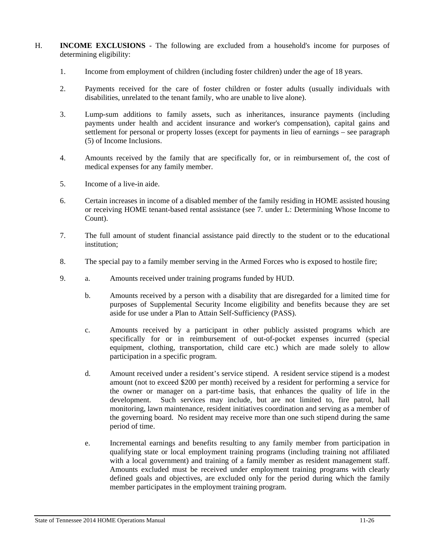- H. **INCOME EXCLUSIONS** The following are excluded from a household's income for purposes of determining eligibility:
	- 1. Income from employment of children (including foster children) under the age of 18 years.
	- 2. Payments received for the care of foster children or foster adults (usually individuals with disabilities, unrelated to the tenant family, who are unable to live alone).
	- 3. Lump-sum additions to family assets, such as inheritances, insurance payments (including payments under health and accident insurance and worker's compensation), capital gains and settlement for personal or property losses (except for payments in lieu of earnings – see paragraph (5) of Income Inclusions.
	- 4. Amounts received by the family that are specifically for, or in reimbursement of, the cost of medical expenses for any family member.
	- 5. Income of a live-in aide.
	- 6. Certain increases in income of a disabled member of the family residing in HOME assisted housing or receiving HOME tenant-based rental assistance (see 7. under L: Determining Whose Income to Count).
	- 7. The full amount of student financial assistance paid directly to the student or to the educational institution;
	- 8. The special pay to a family member serving in the Armed Forces who is exposed to hostile fire;
	- 9. a. Amounts received under training programs funded by HUD.
		- b. Amounts received by a person with a disability that are disregarded for a limited time for purposes of Supplemental Security Income eligibility and benefits because they are set aside for use under a Plan to Attain Self-Sufficiency (PASS).
		- c. Amounts received by a participant in other publicly assisted programs which are specifically for or in reimbursement of out-of-pocket expenses incurred (special equipment, clothing, transportation, child care etc.) which are made solely to allow participation in a specific program.
		- d. Amount received under a resident's service stipend. A resident service stipend is a modest amount (not to exceed \$200 per month) received by a resident for performing a service for the owner or manager on a part-time basis, that enhances the quality of life in the development. Such services may include, but are not limited to, fire patrol, hall monitoring, lawn maintenance, resident initiatives coordination and serving as a member of the governing board. No resident may receive more than one such stipend during the same period of time.
		- e. Incremental earnings and benefits resulting to any family member from participation in qualifying state or local employment training programs (including training not affiliated with a local government) and training of a family member as resident management staff. Amounts excluded must be received under employment training programs with clearly defined goals and objectives, are excluded only for the period during which the family member participates in the employment training program.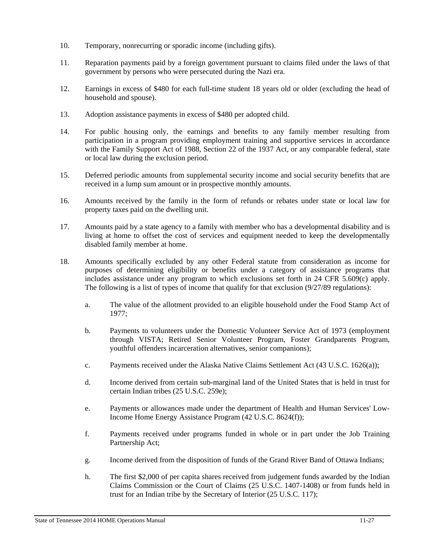- 10. Temporary, nonrecurring or sporadic income (including gifts).
- 11. Reparation payments paid by a foreign government pursuant to claims filed under the laws of that government by persons who were persecuted during the Nazi era.
- 12. Earnings in excess of \$480 for each full-time student 18 years old or older (excluding the head of household and spouse).
- 13. Adoption assistance payments in excess of \$480 per adopted child.
- 14. For public housing only, the earnings and benefits to any family member resulting from participation in a program providing employment training and supportive services in accordance with the Family Support Act of 1988, Section 22 of the 1937 Act, or any comparable federal, state or local law during the exclusion period.
- 15. Deferred periodic amounts from supplemental security income and social security benefits that are received in a lump sum amount or in prospective monthly amounts.
- 16. Amounts received by the family in the form of refunds or rebates under state or local law for property taxes paid on the dwelling unit.
- 17. Amounts paid by a state agency to a family with member who has a developmental disability and is living at home to offset the cost of services and equipment needed to keep the developmentally disabled family member at home.
- 18. Amounts specifically excluded by any other Federal statute from consideration as income for purposes of determining eligibility or benefits under a category of assistance programs that includes assistance under any program to which exclusions set forth in 24 CFR 5.609(c) apply. The following is a list of types of income that qualify for that exclusion (9/27/89 regulations):
	- a. The value of the allotment provided to an eligible household under the Food Stamp Act of 1977;
	- b. Payments to volunteers under the Domestic Volunteer Service Act of 1973 (employment through VISTA; Retired Senior Volunteer Program, Foster Grandparents Program, youthful offenders incarceration alternatives, senior companions);
	- c. Payments received under the Alaska Native Claims Settlement Act (43 U.S.C. 1626(a));
	- d. Income derived from certain sub-marginal land of the United States that is held in trust for certain Indian tribes (25 U.S.C. 259e);
	- e. Payments or allowances made under the department of Health and Human Services' Low-Income Home Energy Assistance Program (42 U.S.C. 8624(f));
	- f. Payments received under programs funded in whole or in part under the Job Training Partnership Act;
	- g. Income derived from the disposition of funds of the Grand River Band of Ottawa Indians;
	- h. The first \$2,000 of per capita shares received from judgement funds awarded by the Indian Claims Commission or the Court of Claims (25 U.S.C. 1407-1408) or from funds held in trust for an Indian tribe by the Secretary of Interior (25 U.S.C. 117);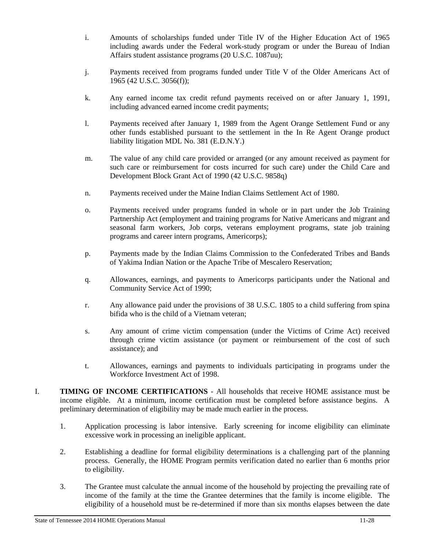- i. Amounts of scholarships funded under Title IV of the Higher Education Act of 1965 including awards under the Federal work-study program or under the Bureau of Indian Affairs student assistance programs (20 U.S.C. 1087uu);
- j. Payments received from programs funded under Title V of the Older Americans Act of 1965 (42 U.S.C. 3056(f));
- k. Any earned income tax credit refund payments received on or after January 1, 1991, including advanced earned income credit payments;
- l. Payments received after January 1, 1989 from the Agent Orange Settlement Fund or any other funds established pursuant to the settlement in the In Re Agent Orange product liability litigation MDL No. 381 (E.D.N.Y.)
- m. The value of any child care provided or arranged (or any amount received as payment for such care or reimbursement for costs incurred for such care) under the Child Care and Development Block Grant Act of 1990 (42 U.S.C. 9858q)
- n. Payments received under the Maine Indian Claims Settlement Act of 1980.
- o. Payments received under programs funded in whole or in part under the Job Training Partnership Act (employment and training programs for Native Americans and migrant and seasonal farm workers, Job corps, veterans employment programs, state job training programs and career intern programs, Americorps);
- p. Payments made by the Indian Claims Commission to the Confederated Tribes and Bands of Yakima Indian Nation or the Apache Tribe of Mescalero Reservation;
- q. Allowances, earnings, and payments to Americorps participants under the National and Community Service Act of 1990;
- r. Any allowance paid under the provisions of 38 U.S.C. 1805 to a child suffering from spina bifida who is the child of a Vietnam veteran;
- s. Any amount of crime victim compensation (under the Victims of Crime Act) received through crime victim assistance (or payment or reimbursement of the cost of such assistance); and
- t. Allowances, earnings and payments to individuals participating in programs under the Workforce Investment Act of 1998.
- I. **TIMING OF INCOME CERTIFICATIONS** All households that receive HOME assistance must be income eligible. At a minimum, income certification must be completed before assistance begins. A preliminary determination of eligibility may be made much earlier in the process.
	- 1. Application processing is labor intensive. Early screening for income eligibility can eliminate excessive work in processing an ineligible applicant.
	- 2. Establishing a deadline for formal eligibility determinations is a challenging part of the planning process. Generally, the HOME Program permits verification dated no earlier than 6 months prior to eligibility.
	- 3. The Grantee must calculate the annual income of the household by projecting the prevailing rate of income of the family at the time the Grantee determines that the family is income eligible. The eligibility of a household must be re-determined if more than six months elapses between the date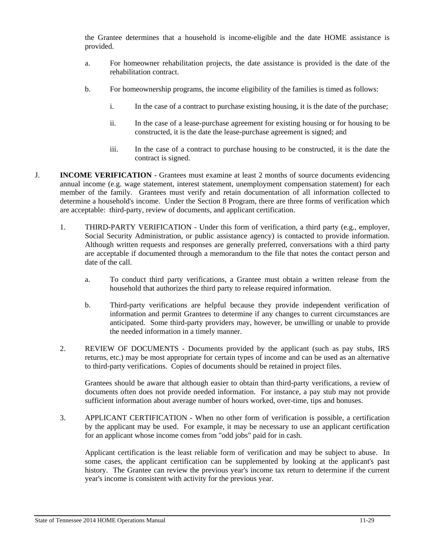the Grantee determines that a household is income-eligible and the date HOME assistance is provided.

- a. For homeowner rehabilitation projects, the date assistance is provided is the date of the rehabilitation contract.
- b. For homeownership programs, the income eligibility of the families is timed as follows:
	- i. In the case of a contract to purchase existing housing, it is the date of the purchase;
	- ii. In the case of a lease-purchase agreement for existing housing or for housing to be constructed, it is the date the lease-purchase agreement is signed; and
	- iii. In the case of a contract to purchase housing to be constructed, it is the date the contract is signed.
- J. **INCOME VERIFICATION**  Grantees must examine at least 2 months of source documents evidencing annual income (e.g. wage statement, interest statement, unemployment compensation statement) for each member of the family. Grantees must verify and retain documentation of all information collected to determine a household's income. Under the Section 8 Program, there are three forms of verification which are acceptable: third-party, review of documents, and applicant certification.
	- 1. THIRD-PARTY VERIFICATION Under this form of verification, a third party (e.g., employer, Social Security Administration, or public assistance agency) is contacted to provide information. Although written requests and responses are generally preferred, conversations with a third party are acceptable if documented through a memorandum to the file that notes the contact person and date of the call.
		- a. To conduct third party verifications, a Grantee must obtain a written release from the household that authorizes the third party to release required information.
		- b. Third-party verifications are helpful because they provide independent verification of information and permit Grantees to determine if any changes to current circumstances are anticipated. Some third-party providers may, however, be unwilling or unable to provide the needed information in a timely manner.
	- 2. REVIEW OF DOCUMENTS Documents provided by the applicant (such as pay stubs, IRS returns, etc.) may be most appropriate for certain types of income and can be used as an alternative to third-party verifications. Copies of documents should be retained in project files.

 Grantees should be aware that although easier to obtain than third-party verifications, a review of documents often does not provide needed information. For instance, a pay stub may not provide sufficient information about average number of hours worked, over-time, tips and bonuses.

 3. APPLICANT CERTIFICATION - When no other form of verification is possible, a certification by the applicant may be used. For example, it may be necessary to use an applicant certification for an applicant whose income comes from "odd jobs" paid for in cash.

 Applicant certification is the least reliable form of verification and may be subject to abuse. In some cases, the applicant certification can be supplemented by looking at the applicant's past history. The Grantee can review the previous year's income tax return to determine if the current year's income is consistent with activity for the previous year.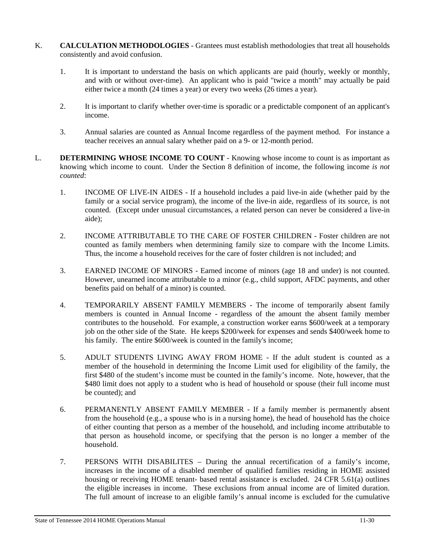- K. **CALCULATION METHODOLOGIES** Grantees must establish methodologies that treat all households consistently and avoid confusion.
	- 1. It is important to understand the basis on which applicants are paid (hourly, weekly or monthly, and with or without over-time). An applicant who is paid "twice a month" may actually be paid either twice a month (24 times a year) or every two weeks (26 times a year).
	- 2. It is important to clarify whether over-time is sporadic or a predictable component of an applicant's income.
	- 3. Annual salaries are counted as Annual Income regardless of the payment method. For instance a teacher receives an annual salary whether paid on a 9- or 12-month period.
- L. **DETERMINING WHOSE INCOME TO COUNT** Knowing whose income to count is as important as knowing which income to count. Under the Section 8 definition of income, the following income *is not counted*:
	- 1. INCOME OF LIVE-IN AIDES If a household includes a paid live-in aide (whether paid by the family or a social service program), the income of the live-in aide, regardless of its source, is not counted. (Except under unusual circumstances, a related person can never be considered a live-in aide);
	- 2. INCOME ATTRIBUTABLE TO THE CARE OF FOSTER CHILDREN Foster children are not counted as family members when determining family size to compare with the Income Limits. Thus, the income a household receives for the care of foster children is not included; and
	- 3. EARNED INCOME OF MINORS Earned income of minors (age 18 and under) is not counted. However, unearned income attributable to a minor (e.g., child support, AFDC payments, and other benefits paid on behalf of a minor) is counted.
	- 4. TEMPORARILY ABSENT FAMILY MEMBERS The income of temporarily absent family members is counted in Annual Income - regardless of the amount the absent family member contributes to the household. For example, a construction worker earns \$600/week at a temporary job on the other side of the State. He keeps \$200/week for expenses and sends \$400/week home to his family. The entire \$600/week is counted in the family's income;
	- 5. ADULT STUDENTS LIVING AWAY FROM HOME If the adult student is counted as a member of the household in determining the Income Limit used for eligibility of the family, the first \$480 of the student's income must be counted in the family's income. Note, however, that the \$480 limit does not apply to a student who is head of household or spouse (their full income must be counted); and
	- 6. PERMANENTLY ABSENT FAMILY MEMBER If a family member is permanently absent from the household (e.g., a spouse who is in a nursing home), the head of household has the choice of either counting that person as a member of the household, and including income attributable to that person as household income, or specifying that the person is no longer a member of the household.
	- 7. PERSONS WITH DISABILITES During the annual recertification of a family's income, increases in the income of a disabled member of qualified families residing in HOME assisted housing or receiving HOME tenant- based rental assistance is excluded. 24 CFR 5.61(a) outlines the eligible increases in income. These exclusions from annual income are of limited duration. The full amount of increase to an eligible family's annual income is excluded for the cumulative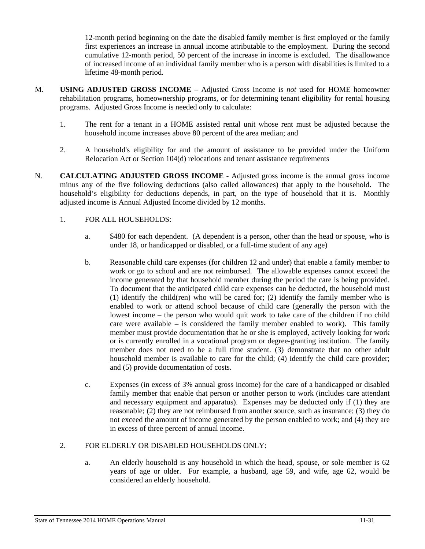12-month period beginning on the date the disabled family member is first employed or the family first experiences an increase in annual income attributable to the employment. During the second cumulative 12-month period, 50 percent of the increase in income is excluded. The disallowance of increased income of an individual family member who is a person with disabilities is limited to a lifetime 48-month period.

- M. **USING ADJUSTED GROSS INCOME**  Adjusted Gross Income is *not* used for HOME homeowner rehabilitation programs, homeownership programs, or for determining tenant eligibility for rental housing programs. Adjusted Gross Income is needed only to calculate:
	- 1. The rent for a tenant in a HOME assisted rental unit whose rent must be adjusted because the household income increases above 80 percent of the area median; and
	- 2. A household's eligibility for and the amount of assistance to be provided under the Uniform Relocation Act or Section 104(d) relocations and tenant assistance requirements
- N. **CALCULATING ADJUSTED GROSS INCOME** Adjusted gross income is the annual gross income minus any of the five following deductions (also called allowances) that apply to the household. The household's eligibility for deductions depends, in part, on the type of household that it is. Monthly adjusted income is Annual Adjusted Income divided by 12 months.

### 1. FOR ALL HOUSEHOLDS:

- a. \$480 for each dependent. (A dependent is a person, other than the head or spouse, who is under 18, or handicapped or disabled, or a full-time student of any age)
- b. Reasonable child care expenses (for children 12 and under) that enable a family member to work or go to school and are not reimbursed. The allowable expenses cannot exceed the income generated by that household member during the period the care is being provided. To document that the anticipated child care expenses can be deducted, the household must (1) identify the child(ren) who will be cared for; (2) identify the family member who is enabled to work or attend school because of child care (generally the person with the lowest income – the person who would quit work to take care of the children if no child care were available  $-$  is considered the family member enabled to work). This family member must provide documentation that he or she is employed, actively looking for work or is currently enrolled in a vocational program or degree-granting institution. The family member does not need to be a full time student. (3) demonstrate that no other adult household member is available to care for the child; (4) identify the child care provider; and (5) provide documentation of costs.
- c. Expenses (in excess of 3% annual gross income) for the care of a handicapped or disabled family member that enable that person or another person to work (includes care attendant and necessary equipment and apparatus). Expenses may be deducted only if (1) they are reasonable; (2) they are not reimbursed from another source, such as insurance; (3) they do not exceed the amount of income generated by the person enabled to work; and (4) they are in excess of three percent of annual income.

### 2. FOR ELDERLY OR DISABLED HOUSEHOLDS ONLY:

 a. An elderly household is any household in which the head, spouse, or sole member is 62 years of age or older. For example, a husband, age 59, and wife, age 62, would be considered an elderly household.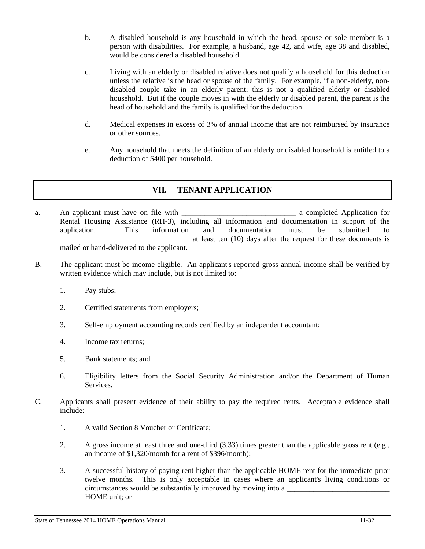- b. A disabled household is any household in which the head, spouse or sole member is a person with disabilities. For example, a husband, age 42, and wife, age 38 and disabled, would be considered a disabled household.
- c. Living with an elderly or disabled relative does not qualify a household for this deduction unless the relative is the head or spouse of the family. For example, if a non-elderly, nondisabled couple take in an elderly parent; this is not a qualified elderly or disabled household. But if the couple moves in with the elderly or disabled parent, the parent is the head of household and the family is qualified for the deduction.
- d. Medical expenses in excess of 3% of annual income that are not reimbursed by insurance or other sources.
- e. Any household that meets the definition of an elderly or disabled household is entitled to a deduction of \$400 per household.

# **VII. TENANT APPLICATION**

- a. An applicant must have on file with \_\_\_\_\_\_\_\_\_\_\_\_\_\_\_\_\_\_\_\_\_\_\_\_\_\_\_\_\_\_ a completed Application for Rental Housing Assistance (RH-3), including all information and documentation in support of the application. This information and documentation must be submitted to at least ten (10) days after the request for these documents is mailed or hand-delivered to the applicant.
- B. The applicant must be income eligible. An applicant's reported gross annual income shall be verified by written evidence which may include, but is not limited to:
	- 1. Pay stubs;
	- 2. Certified statements from employers;
	- 3. Self-employment accounting records certified by an independent accountant;
	- 4. Income tax returns;
	- 5. Bank statements; and
	- 6. Eligibility letters from the Social Security Administration and/or the Department of Human Services.
- C. Applicants shall present evidence of their ability to pay the required rents. Acceptable evidence shall include:
	- 1. A valid Section 8 Voucher or Certificate;
	- 2. A gross income at least three and one-third (3.33) times greater than the applicable gross rent (e.g., an income of \$1,320/month for a rent of \$396/month);
	- 3. A successful history of paying rent higher than the applicable HOME rent for the immediate prior twelve months. This is only acceptable in cases where an applicant's living conditions or circumstances would be substantially improved by moving into a HOME unit; or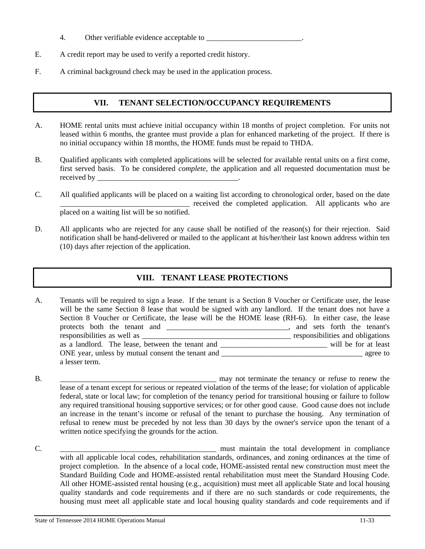- 4. Other verifiable evidence acceptable to \_\_\_\_\_\_\_\_\_\_\_\_\_\_\_\_\_\_\_\_\_\_\_\_\_.
- E. A credit report may be used to verify a reported credit history.
- F. A criminal background check may be used in the application process.

# **VII. TENANT SELECTION/OCCUPANCY REQUIREMENTS**

- A. HOME rental units must achieve initial occupancy within 18 months of project completion. For units not leased within 6 months, the grantee must provide a plan for enhanced marketing of the project. If there is no initial occupancy within 18 months, the HOME funds must be repaid to THDA.
- B. Qualified applicants with completed applications will be selected for available rental units on a first come, first served basis. To be considered *complete*, the application and all requested documentation must be received by \_\_\_\_\_\_\_\_\_\_\_\_\_\_\_\_\_\_\_\_\_\_\_\_\_\_\_\_\_\_\_\_\_\_\_\_\_.
- C. All qualified applicants will be placed on a waiting list according to chronological order, based on the date received the completed application. All applicants who are placed on a waiting list will be so notified.
- D. All applicants who are rejected for any cause shall be notified of the reason(s) for their rejection. Said notification shall be hand-delivered or mailed to the applicant at his/her/their last known address within ten (10) days after rejection of the application.

# **VIII. TENANT LEASE PROTECTIONS**

A. Tenants will be required to sign a lease. If the tenant is a Section 8 Voucher or Certificate user, the lease will be the same Section 8 lease that would be signed with any landlord. If the tenant does not have a Section 8 Voucher or Certificate, the lease will be the HOME lease (RH-6). In either case, the lease protects both the tenant and \_\_\_\_\_\_\_\_\_\_\_\_\_\_\_\_\_\_\_\_\_\_\_\_\_\_\_\_\_\_\_\_, and sets forth the tenant's responsibilities as well as \_\_\_\_\_\_\_\_\_\_\_\_\_\_\_\_\_\_\_\_\_\_\_\_\_\_\_\_\_\_\_\_\_\_\_\_\_\_\_ responsibilities and obligations as a landlord. The lease, between the tenant and \_\_\_\_\_\_\_\_\_\_\_\_\_\_\_\_\_\_\_\_\_\_\_\_\_\_\_\_ will be for at least ONE year, unless by mutual consent the tenant and \_\_\_\_\_\_\_\_\_\_\_\_\_\_\_\_\_\_\_\_\_\_\_\_\_\_\_\_\_\_\_\_\_\_\_\_\_ agree to a lesser term.

- B. \_\_\_\_\_\_\_\_\_\_\_\_\_\_\_\_\_\_\_\_\_\_\_\_\_\_\_\_\_\_\_\_\_\_\_\_\_\_\_\_\_ may not terminate the tenancy or refuse to renew the lease of a tenant except for serious or repeated violation of the terms of the lease; for violation of applicable federal, state or local law; for completion of the tenancy period for transitional housing or failure to follow any required transitional housing supportive services; or for other good cause. Good cause does not include an increase in the tenant's income or refusal of the tenant to purchase the housing. Any termination of refusal to renew must be preceded by not less than 30 days by the owner's service upon the tenant of a written notice specifying the grounds for the action.
- C.  $\blacksquare$  must maintain the total development in compliance with all applicable local codes, rehabilitation standards, ordinances, and zoning ordinances at the time of project completion. In the absence of a local code, HOME-assisted rental new construction must meet the Standard Building Code and HOME-assisted rental rehabilitation must meet the Standard Housing Code. All other HOME-assisted rental housing (e.g., acquisition) must meet all applicable State and local housing quality standards and code requirements and if there are no such standards or code requirements, the housing must meet all applicable state and local housing quality standards and code requirements and if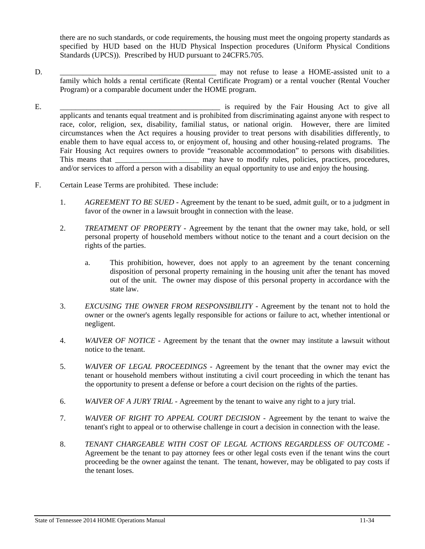there are no such standards, or code requirements, the housing must meet the ongoing property standards as specified by HUD based on the HUD Physical Inspection procedures (Uniform Physical Conditions Standards (UPCS)). Prescribed by HUD pursuant to 24CFR5.705.

- D.  $\Box$  may not refuse to lease a HOME-assisted unit to a family which holds a rental certificate (Rental Certificate Program) or a rental voucher (Rental Voucher Program) or a comparable document under the HOME program.
- E. \_\_\_\_\_\_\_\_\_\_\_\_\_\_\_\_\_\_\_\_\_\_\_\_\_\_\_\_\_\_\_\_\_\_\_\_\_\_\_\_\_\_ is required by the Fair Housing Act to give all applicants and tenants equal treatment and is prohibited from discriminating against anyone with respect to race, color, religion, sex, disability, familial status, or national origin. However, there are limited circumstances when the Act requires a housing provider to treat persons with disabilities differently, to enable them to have equal access to, or enjoyment of, housing and other housing-related programs. The Fair Housing Act requires owners to provide "reasonable accommodation" to persons with disabilities. This means that This means that the may have to modify rules, policies, practices, procedures, procedures, procedures, procedures, procedures, procedures, procedures, procedures, procedures, procedures, procedures, procedu and/or services to afford a person with a disability an equal opportunity to use and enjoy the housing.
- F. Certain Lease Terms are prohibited. These include:
	- 1. *AGREEMENT TO BE SUED* Agreement by the tenant to be sued, admit guilt, or to a judgment in favor of the owner in a lawsuit brought in connection with the lease.
	- 2. *TREATMENT OF PROPERTY* Agreement by the tenant that the owner may take, hold, or sell personal property of household members without notice to the tenant and a court decision on the rights of the parties.
		- a. This prohibition, however, does not apply to an agreement by the tenant concerning disposition of personal property remaining in the housing unit after the tenant has moved out of the unit. The owner may dispose of this personal property in accordance with the state law.
	- 3. *EXCUSING THE OWNER FROM RESPONSIBILITY -* Agreement by the tenant not to hold the owner or the owner's agents legally responsible for actions or failure to act, whether intentional or negligent.
	- 4. *WAIVER OF NOTICE* Agreement by the tenant that the owner may institute a lawsuit without notice to the tenant.
	- 5. *WAIVER OF LEGAL PROCEEDINGS* Agreement by the tenant that the owner may evict the tenant or household members without instituting a civil court proceeding in which the tenant has the opportunity to present a defense or before a court decision on the rights of the parties.
	- 6. *WAIVER OF A JURY TRIAL* Agreement by the tenant to waive any right to a jury trial.
	- 7. *WAIVER OF RIGHT TO APPEAL COURT DECISION* Agreement by the tenant to waive the tenant's right to appeal or to otherwise challenge in court a decision in connection with the lease.
	- 8. *TENANT CHARGEABLE WITH COST OF LEGAL ACTIONS REGARDLESS OF OUTCOME*  Agreement be the tenant to pay attorney fees or other legal costs even if the tenant wins the court proceeding be the owner against the tenant. The tenant, however, may be obligated to pay costs if the tenant loses.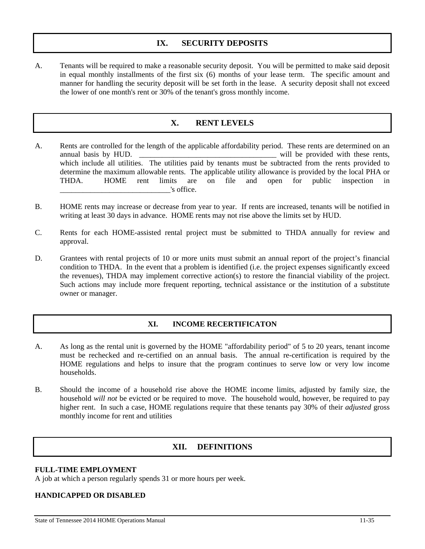## **IX. SECURITY DEPOSITS**

A. Tenants will be required to make a reasonable security deposit. You will be permitted to make said deposit in equal monthly installments of the first six (6) months of your lease term. The specific amount and manner for handling the security deposit will be set forth in the lease. A security deposit shall not exceed the lower of one month's rent or 30% of the tenant's gross monthly income.

# **X. RENT LEVELS**

- A. Rents are controlled for the length of the applicable affordability period. These rents are determined on an annual basis by HUD. \_\_\_\_\_\_\_\_\_\_\_\_\_\_\_\_\_\_\_\_\_\_\_\_\_\_\_\_\_\_\_\_\_\_\_\_ will be provided with these rents, which include all utilities. The utilities paid by tenants must be subtracted from the rents provided to determine the maximum allowable rents. The applicable utility allowance is provided by the local PHA or THDA. HOME rent limits are on file and open for public inspection in \_\_\_\_\_\_\_\_\_\_\_\_\_\_\_\_\_\_\_\_\_\_\_\_\_\_\_\_\_'s office.
- B. HOME rents may increase or decrease from year to year. If rents are increased, tenants will be notified in writing at least 30 days in advance. HOME rents may not rise above the limits set by HUD.
- C. Rents for each HOME-assisted rental project must be submitted to THDA annually for review and approval.
- D. Grantees with rental projects of 10 or more units must submit an annual report of the project's financial condition to THDA. In the event that a problem is identified (i.e. the project expenses significantly exceed the revenues), THDA may implement corrective action(s) to restore the financial viability of the project. Such actions may include more frequent reporting, technical assistance or the institution of a substitute owner or manager.

### **XI. INCOME RECERTIFICATON**

- A. As long as the rental unit is governed by the HOME "affordability period" of 5 to 20 years, tenant income must be rechecked and re-certified on an annual basis. The annual re-certification is required by the HOME regulations and helps to insure that the program continues to serve low or very low income households.
- B. Should the income of a household rise above the HOME income limits, adjusted by family size, the household *will not* be evicted or be required to move. The household would, however, be required to pay higher rent. In such a case, HOME regulations require that these tenants pay 30% of their *adjusted* gross monthly income for rent and utilities

## **XII. DEFINITIONS**

### **FULL-TIME EMPLOYMENT**

A job at which a person regularly spends 31 or more hours per week.

### **HANDICAPPED OR DISABLED**